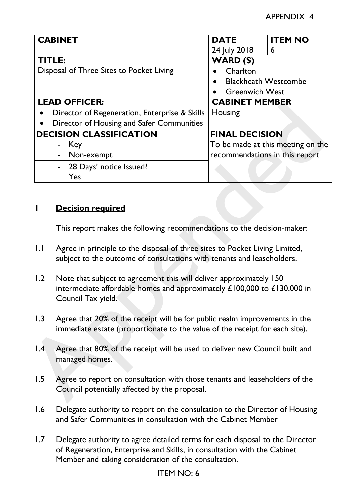|                                          | <b>CABINET</b>                                                                                                                                                      | <b>DATE</b>                    | <b>ITEM NO</b>                    |
|------------------------------------------|---------------------------------------------------------------------------------------------------------------------------------------------------------------------|--------------------------------|-----------------------------------|
|                                          |                                                                                                                                                                     | 24 July 2018                   | 6                                 |
|                                          | <b>TITLE:</b>                                                                                                                                                       | <b>WARD (S)</b>                |                                   |
| Disposal of Three Sites to Pocket Living |                                                                                                                                                                     | Charlton                       |                                   |
|                                          |                                                                                                                                                                     |                                | <b>Blackheath Westcombe</b>       |
|                                          |                                                                                                                                                                     | <b>Greenwich West</b>          |                                   |
|                                          | <b>LEAD OFFICER:</b>                                                                                                                                                | <b>CABINET MEMBER</b>          |                                   |
|                                          | Director of Regeneration, Enterprise & Skills                                                                                                                       | Housing                        |                                   |
|                                          | Director of Housing and Safer Communities                                                                                                                           |                                |                                   |
|                                          | <b>DECISION CLASSIFICATION</b>                                                                                                                                      | <b>FINAL DECISION</b>          |                                   |
|                                          | - Key                                                                                                                                                               |                                | To be made at this meeting on the |
|                                          | Non-exempt<br>$\blacksquare$                                                                                                                                        | recommendations in this report |                                   |
|                                          | 28 Days' notice Issued?                                                                                                                                             |                                |                                   |
|                                          | Yes                                                                                                                                                                 |                                |                                   |
|                                          |                                                                                                                                                                     |                                |                                   |
|                                          | This report makes the following recommendations to the decision-maker:                                                                                              |                                |                                   |
|                                          | Agree in principle to the disposal of three sites to Pocket Living Limited,<br>subject to the outcome of consultations with tenants and leaseholders.               |                                |                                   |
|                                          | Note that subject to agreement this will deliver approximately 150<br>intermediate affordable homes and approximately £100,000 to £130,000 in<br>Council Tax yield. |                                |                                   |
|                                          | Agree that 20% of the receipt will be for public realm improvements in the<br>immediate estate (proportionate to the value of the receipt for each site).           |                                |                                   |
| 1.1<br>1.2<br>1.3<br>$\mathsf{I}$ .4     | Agree that 80% of the receipt will be used to deliver new Council built and<br>managed homes.                                                                       |                                |                                   |

## **1 Decision required**

- 1.1 Agree in principle to the disposal of three sites to Pocket Living Limited, subject to the outcome of consultations with tenants and leaseholders.
- 1.2 Note that subject to agreement this will deliver approximately 150 intermediate affordable homes and approximately £100,000 to £130,000 in Council Tax yield.
- 1.3 Agree that 20% of the receipt will be for public realm improvements in the immediate estate (proportionate to the value of the receipt for each site).
- 1.4 Agree that 80% of the receipt will be used to deliver new Council built and managed homes.
- 1.5 Agree to report on consultation with those tenants and leaseholders of the Council potentially affected by the proposal.
- 1.6 Delegate authority to report on the consultation to the Director of Housing and Safer Communities in consultation with the Cabinet Member
- 1.7 Delegate authority to agree detailed terms for each disposal to the Director of Regeneration, Enterprise and Skills, in consultation with the Cabinet Member and taking consideration of the consultation.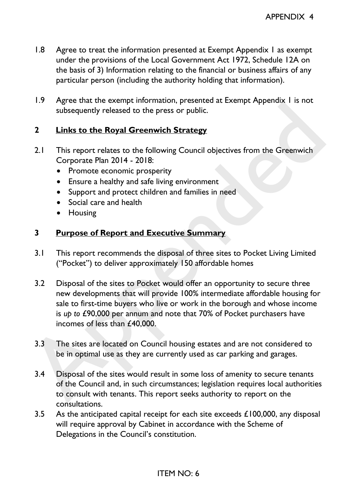- 1.8 Agree to treat the information presented at Exempt Appendix 1 as exempt under the provisions of the Local Government Act 1972, Schedule 12A on the basis of 3) Information relating to the financial or business affairs of any particular person (including the authority holding that information).
- 1.9 Agree that the exempt information, presented at Exempt Appendix 1 is not subsequently released to the press or public.

## **2 Links to the Royal Greenwich Strategy**

- 2.1 This report relates to the following Council objectives from the Greenwich Corporate Plan 2014 - 2018:
	- Promote economic prosperity
	- Ensure a healthy and safe living environment
	- Support and protect children and families in need
	- Social care and health
	- Housing

## **3 Purpose of Report and Executive Summary**

- 3.1 This report recommends the disposal of three sites to Pocket Living Limited ("Pocket") to deliver approximately 150 affordable homes
- 3.2 Disposal of the sites to Pocket would offer an opportunity to secure three new developments that will provide 100% intermediate affordable housing for sale to first-time buyers who live or work in the borough and whose income is *up to* £90,000 per annum and note that 70% of Pocket purchasers have incomes of less than £40,000. Subsequently released to the press or public.<br>
2. Links to the Royal Greenwich Strategy<br>
2.1 This report relates to the following Council objectives from the Greenwich<br>
2.1 This report relates to the following Council obje
	- 3.3 The sites are located on Council housing estates and are not considered to be in optimal use as they are currently used as car parking and garages.
	- 3.4 Disposal of the sites would result in some loss of amenity to secure tenants of the Council and, in such circumstances; legislation requires local authorities to consult with tenants. This report seeks authority to report on the consultations.
	- 3.5 As the anticipated capital receipt for each site exceeds  $£100,000$ , any disposal will require approval by Cabinet in accordance with the Scheme of Delegations in the Council's constitution.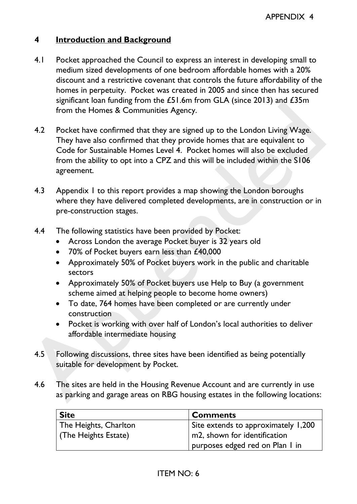## **4 Introduction and Background**

- 4.1 Pocket approached the Council to express an interest in developing small to medium sized developments of one bedroom affordable homes with a 20% discount and a restrictive covenant that controls the future affordability of the homes in perpetuity. Pocket was created in 2005 and since then has secured significant loan funding from the £51.6m from GLA (since 2013) and £35m from the Homes & Communities Agency.
- 4.2 Pocket have confirmed that they are signed up to the London Living Wage. They have also confirmed that they provide homes that are equivalent to Code for Sustainable Homes Level 4. Pocket homes will also be excluded from the ability to opt into a CPZ and this will be included within the S106 agreement. From the Homes & Communities Agency.<br>
And the Homes & Communities Agency.<br>
And the confirmed that they are signed up to the London Living Wage.<br>
They have also confirmed that they provide homes that are equivalent to<br>
Code
	- 4.3 Appendix 1 to this report provides a map showing the London boroughs where they have delivered completed developments, are in construction or in pre-construction stages.
	- 4.4 The following statistics have been provided by Pocket:
		- Across London the average Pocket buyer is 32 years old
		- 70% of Pocket buyers earn less than £40,000
		- Approximately 50% of Pocket buyers work in the public and charitable sectors
		- Approximately 50% of Pocket buyers use Help to Buy (a government scheme aimed at helping people to become home owners)
		- To date, 764 homes have been completed or are currently under construction
		- Pocket is working with over half of London's local authorities to deliver affordable intermediate housing
	- 4.5 Following discussions, three sites have been identified as being potentially suitable for development by Pocket.
	- 4.6 The sites are held in the Housing Revenue Account and are currently in use as parking and garage areas on RBG housing estates in the following locations:

| <b>Site</b>           | <b>Comments</b>                           |
|-----------------------|-------------------------------------------|
| The Heights, Charlton | Site extends to approximately 1,200       |
| (The Heights Estate)  | $\mathsf{I}$ m2, shown for identification |
|                       | purposes edged red on Plan I in           |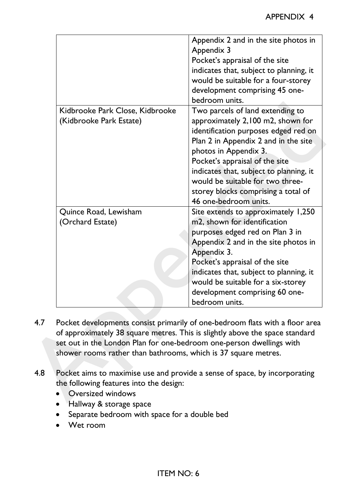|                                                                                                                                                                                                               | Appendix 2 and in the site photos in<br>Appendix 3<br>Pocket's appraisal of the site<br>indicates that, subject to planning, it<br>would be suitable for a four-storey<br>development comprising 45 one-                                                                                                                             |
|---------------------------------------------------------------------------------------------------------------------------------------------------------------------------------------------------------------|--------------------------------------------------------------------------------------------------------------------------------------------------------------------------------------------------------------------------------------------------------------------------------------------------------------------------------------|
|                                                                                                                                                                                                               | bedroom units.                                                                                                                                                                                                                                                                                                                       |
| Kidbrooke Park Close, Kidbrooke<br>(Kidbrooke Park Estate)                                                                                                                                                    | Two parcels of land extending to<br>approximately 2,100 m2, shown for<br>identification purposes edged red on<br>Plan 2 in Appendix 2 and in the site<br>photos in Appendix 3.                                                                                                                                                       |
|                                                                                                                                                                                                               | Pocket's appraisal of the site<br>indicates that, subject to planning, it<br>would be suitable for two three-<br>storey blocks comprising a total of<br>46 one-bedroom units.                                                                                                                                                        |
| Quince Road, Lewisham<br>(Orchard Estate)                                                                                                                                                                     | Site extends to approximately 1,250<br>m2, shown for identification<br>purposes edged red on Plan 3 in<br>Appendix 2 and in the site photos in<br>Appendix 3.<br>Pocket's appraisal of the site<br>indicates that, subject to planning, it<br>would be suitable for a six-storey<br>development comprising 60 one-<br>bedroom units. |
|                                                                                                                                                                                                               | Pocket developments consist primarily of one-bedroom flats with a floor area<br>of approximately 38 square metres. This is slightly above the space standard                                                                                                                                                                         |
| set out in the London Plan for one-bedroom one-person dwellings with<br>shower rooms rather than bathrooms, which is 37 square metres.<br>the following features into the design:<br><b>Oversized windows</b> | Pocket aims to maximise use and provide a sense of space, by incorporating                                                                                                                                                                                                                                                           |

- 4.7 Pocket developments consist primarily of one-bedroom flats with a floor area of approximately 38 square metres. This is slightly above the space standard set out in the London Plan for one-bedroom one-person dwellings with shower rooms rather than bathrooms, which is 37 square metres.
- 4.8 Pocket aims to maximise use and provide a sense of space, by incorporating the following features into the design:
	- Oversized windows
	- Hallway & storage space
	- Separate bedroom with space for a double bed
	- Wet room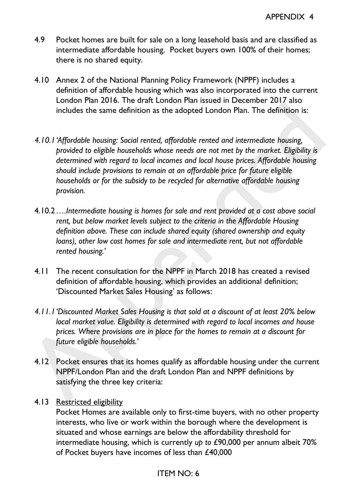- 4.9 Pocket homes are built for sale on a long leasehold basis and are classified as intermediate affordable housing. Pocket buyers own 100% of their homes; there is no shared equity.
- 4.10 Annex 2 of the National Planning Policy Framework (NPPF) includes a definition of affordable housing which was also incorporated into the current London Plan 2016. The draft London Plan issued in December 2017 also includes the same definition as the adopted London Plan. The definition is:
- *4.10.1'Affordable housing: Social rented, affordable rented and intermediate housing, provided to eligible households whose needs are not met by the market. Eligibility is determined with regard to local incomes and local house prices. Affordable housing should include provisions to remain at an affordable price for future eligible households or for the subsidy to be recycled for alternative affordable housing provision.*  Lation can revive the case of the house control includes the same definition as the adopted London Plan. The definition is:<br>
4.10.1 'Affordable housing: Social rented, affordable rented and intermediate housing.<br>
4.10.1 'A
	- 4.10.2*….Intermediate housing is homes for sale and rent provided at a cost above social rent, but below market levels subject to the criteria in the Affordable Housing definition above. These can include shared equity (shared ownership and equity loans), other low cost homes for sale and intermediate rent, but not affordable rented housing.'*
	- 4.11 The recent consultation for the NPPF in March 2018 has created a revised definition of affordable housing, which provides an additional definition; 'Discounted Market Sales Housing' as follows:
	- *4.11.1'Discounted Market Sales Housing is that sold at a discount of at least 20% below local market value. Eligibility is determined with regard to local incomes and house prices. Where provisions are in place for the homes to remain at a discount for future eligible households.'*
	- 4.12 Pocket ensures that its homes qualify as affordable housing under the current NPPF/London Plan and the draft London Plan and NPPF definitions by satisfying the three key criteria:
	- 4.13 Restricted eligibility

Pocket Homes are available only to first-time buyers, with no other property interests, who live or work within the borough where the development is situated and whose earnings are below the affordability threshold for intermediate housing, which is currently *up to* £90,000 per annum albeit 70% of Pocket buyers have incomes of less than £40,000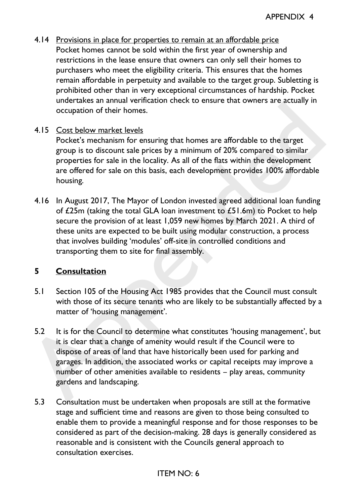4.14 Provisions in place for properties to remain at an affordable price Pocket homes cannot be sold within the first year of ownership and restrictions in the lease ensure that owners can only sell their homes to purchasers who meet the eligibility criteria. This ensures that the homes remain affordable in perpetuity and available to the target group. Subletting is prohibited other than in very exceptional circumstances of hardship. Pocket undertakes an annual verification check to ensure that owners are actually in occupation of their homes.

### 4.15 Cost below market levels

Pocket's mechanism for ensuring that homes are affordable to the target group is to discount sale prices by a minimum of 20% compared to similar properties for sale in the locality. As all of the flats within the development are offered for sale on this basis, each development provides 100% affordable housing.

4.16 In August 2017, The Mayor of London invested agreed additional loan funding of £25m (taking the total GLA loan investment to £51.6m) to Pocket to help secure the provision of at least 1,059 new homes by March 2021. A third of these units are expected to be built using modular construction, a process that involves building 'modules' off-site in controlled conditions and transporting them to site for final assembly. occupation of their homes.<br>
A.15 Cost below market levels<br>
Pocket's mechanism for ensuring that homes are affordable to the target<br>
pocket's mechanism for ensuring that homes are affordable to the target<br>
group is to disco

### **5 Consultation**

- 5.1 Section 105 of the Housing Act 1985 provides that the Council must consult with those of its secure tenants who are likely to be substantially affected by a matter of 'housing management'.
- 5.2 It is for the Council to determine what constitutes 'housing management', but it is clear that a change of amenity would result if the Council were to dispose of areas of land that have historically been used for parking and garages. In addition, the associated works or capital receipts may improve a number of other amenities available to residents – play areas, community gardens and landscaping.
- 5.3 Consultation must be undertaken when proposals are still at the formative stage and sufficient time and reasons are given to those being consulted to enable them to provide a meaningful response and for those responses to be considered as part of the decision-making. 28 days is generally considered as reasonable and is consistent with the Councils general approach to consultation exercises.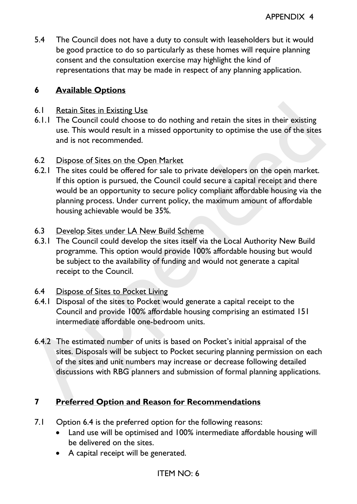5.4 The Council does not have a duty to consult with leaseholders but it would be good practice to do so particularly as these homes will require planning consent and the consultation exercise may highlight the kind of representations that may be made in respect of any planning application.

# **6 Available Options**

- 6.1 Retain Sites in Existing Use
- 6.1.1 The Council could choose to do nothing and retain the sites in their existing use. This would result in a missed opportunity to optimise the use of the sites and is not recommended.
- 6.2 Dispose of Sites on the Open Market
- 6.2.1 The sites could be offered for sale to private developers on the open market. If this option is pursued, the Council could secure a capital receipt and there would be an opportunity to secure policy compliant affordable housing via the planning process. Under current policy, the maximum amount of affordable housing achievable would be 35%. 6.1 Retain Sites in Existing Use<br>
6.1. The Council could choose to do nothing and retain the sites in their existing<br>
10. This would result rat in sitsed opportunity to optimise the use of the sites<br>
and is not recommended
	- 6.3 Develop Sites under LA New Build Scheme
	- 6.3.1 The Council could develop the sites itself via the Local Authority New Build programme. This option would provide 100% affordable housing but would be subject to the availability of funding and would not generate a capital receipt to the Council.
	- 6.4 Dispose of Sites to Pocket Living
	- 6.4.1 Disposal of the sites to Pocket would generate a capital receipt to the Council and provide 100% affordable housing comprising an estimated 151 intermediate affordable one-bedroom units.
	- 6.4.2 The estimated number of units is based on Pocket's initial appraisal of the sites. Disposals will be subject to Pocket securing planning permission on each of the sites and unit numbers may increase or decrease following detailed discussions with RBG planners and submission of formal planning applications.

# <span id="page-6-0"></span>**7 Preferred Option and Reason for Recommendations**

- 7.1 Option [6.4](#page-6-0) is the preferred option for the following reasons:
	- Land use will be optimised and 100% intermediate affordable housing will be delivered on the sites.
	- A capital receipt will be generated.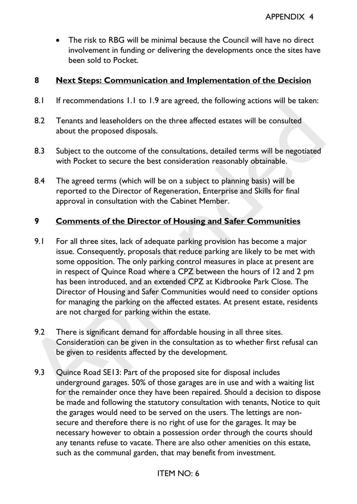The risk to RBG will be minimal because the Council will have no direct involvement in funding or delivering the developments once the sites have been sold to Pocket.

### **8 Next Steps: Communication and Implementation of the Decision**

- 8.1 If recommendations 1.1 to 1.9 are agreed, the following actions will be taken:
- 8.2 Tenants and leaseholders on the three affected estates will be consulted about the proposed disposals.
- 8.3 Subject to the outcome of the consultations, detailed terms will be negotiated with Pocket to secure the best consideration reasonably obtainable.
- 8.4 The agreed terms (which will be on a subject to planning basis) will be reported to the Director of Regeneration, Enterprise and Skills for final approval in consultation with the Cabinet Member.

### **9 Comments of the Director of Housing and Safer Communities**

- 9.1 For all three sites, lack of adequate parking provision has become a major issue. Consequently, proposals that reduce parking are likely to be met with some opposition. The only parking control measures in place at present are in respect of Quince Road where a CPZ between the hours of 12 and 2 pm has been introduced, and an extended CPZ at Kidbrooke Park Close. The Director of Housing and Safer Communities would need to consider options for managing the parking on the affected estates. At present estate, residents are not charged for parking within the estate. **Examples and lease the consideration** of the division of the division of the division of the game and a shall be considered about the proposed disposals.<br> **Assume the proposed disposals.**<br> **Assume the consideration of the** 
	- 9.2 There is significant demand for affordable housing in all three sites. Consideration can be given in the consultation as to whether first refusal can be given to residents affected by the development.
	- 9.3 Quince Road SE13: Part of the proposed site for disposal includes underground garages. 50% of those garages are in use and with a waiting list for the remainder once they have been repaired. Should a decision to dispose be made and following the statutory consultation with tenants, Notice to quit the garages would need to be served on the users. The lettings are nonsecure and therefore there is no right of use for the garages. It may be necessary however to obtain a possession order through the courts should any tenants refuse to vacate. There are also other amenities on this estate, such as the communal garden, that may benefit from investment.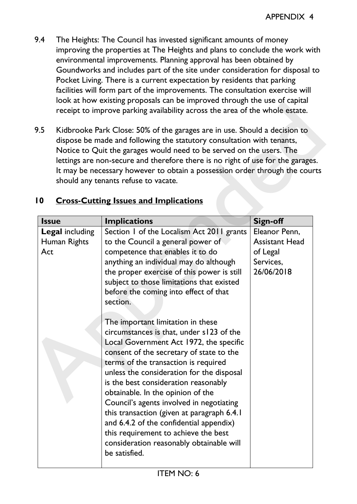- 9.4 The Heights: The Council has invested significant amounts of money improving the properties at The Heights and plans to conclude the work with environmental improvements. Planning approval has been obtained by Goundworks and includes part of the site under consideration for disposal to Pocket Living. There is a current expectation by residents that parking facilities will form part of the improvements. The consultation exercise will look at how existing proposals can be improved through the use of capital receipt to improve parking availability across the area of the whole estate.
- 9.5 Kidbrooke Park Close: 50% of the garages are in use. Should a decision to dispose be made and following the statutory consultation with tenants, Notice to Quit the garages would need to be served on the users. The lettings are non-secure and therefore there is no right of use for the garages. It may be necessary however to obtain a possession order through the courts should any tenants refuse to vacate.

|                                               | lettings are non-secure and therefore there is no right of use for the garages.<br>It may be necessary however to obtain a possession order through the courts<br>should any tenants refuse to vacate.<br><b>Cross-Cutting Issues and Implications</b>                                                                                                                                                                                                                                                                                                                                                                                                                                                                                                                                                                                                                           |                                                                               |
|-----------------------------------------------|----------------------------------------------------------------------------------------------------------------------------------------------------------------------------------------------------------------------------------------------------------------------------------------------------------------------------------------------------------------------------------------------------------------------------------------------------------------------------------------------------------------------------------------------------------------------------------------------------------------------------------------------------------------------------------------------------------------------------------------------------------------------------------------------------------------------------------------------------------------------------------|-------------------------------------------------------------------------------|
| <b>Issue</b>                                  | <b>Implications</b>                                                                                                                                                                                                                                                                                                                                                                                                                                                                                                                                                                                                                                                                                                                                                                                                                                                              | <b>Sign-off</b>                                                               |
| <b>Legal including</b><br>Human Rights<br>Act | Section 1 of the Localism Act 2011 grants<br>to the Council a general power of<br>competence that enables it to do<br>anything an individual may do although<br>the proper exercise of this power is still<br>subject to those limitations that existed<br>before the coming into effect of that<br>section.<br>The important limitation in these<br>circumstances is that, under s123 of the<br>Local Government Act 1972, the specific<br>consent of the secretary of state to the<br>terms of the transaction is required<br>unless the consideration for the disposal<br>is the best consideration reasonably<br>obtainable. In the opinion of the<br>Council's agents involved in negotiating<br>this transaction (given at paragraph 6.4.1)<br>and 6.4.2 of the confidential appendix)<br>this requirement to achieve the best<br>consideration reasonably obtainable will | Eleanor Penn,<br><b>Assistant Head</b><br>of Legal<br>Services,<br>26/06/2018 |

# **10 Cross-Cutting Issues and Implications**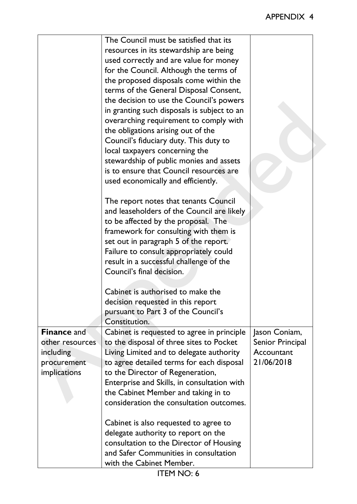|                                                                                   | The Council must be satisfied that its<br>resources in its stewardship are being<br>used correctly and are value for money<br>for the Council. Although the terms of<br>the proposed disposals come within the<br>terms of the General Disposal Consent,<br>the decision to use the Council's powers<br>in granting such disposals is subject to an<br>overarching requirement to comply with<br>the obligations arising out of the<br>Council's fiduciary duty. This duty to<br>local taxpayers concerning the<br>stewardship of public monies and assets<br>is to ensure that Council resources are |                                                               |
|-----------------------------------------------------------------------------------|-------------------------------------------------------------------------------------------------------------------------------------------------------------------------------------------------------------------------------------------------------------------------------------------------------------------------------------------------------------------------------------------------------------------------------------------------------------------------------------------------------------------------------------------------------------------------------------------------------|---------------------------------------------------------------|
|                                                                                   | used economically and efficiently.<br>The report notes that tenants Council<br>and leaseholders of the Council are likely<br>to be affected by the proposal. The<br>framework for consulting with them is<br>set out in paragraph 5 of the report.<br>Failure to consult appropriately could<br>result in a successful challenge of the<br>Council's final decision.                                                                                                                                                                                                                                  |                                                               |
|                                                                                   | Cabinet is authorised to make the<br>decision requested in this report<br>pursuant to Part 3 of the Council's<br>Constitution.                                                                                                                                                                                                                                                                                                                                                                                                                                                                        |                                                               |
| <b>Finance and</b><br>other resources<br>including<br>procurement<br>implications | Cabinet is requested to agree in principle<br>to the disposal of three sites to Pocket<br>Living Limited and to delegate authority<br>to agree detailed terms for each disposal<br>to the Director of Regeneration,<br>Enterprise and Skills, in consultation with<br>the Cabinet Member and taking in to<br>consideration the consultation outcomes.                                                                                                                                                                                                                                                 | Jason Coniam,<br>Senior Principal<br>Accountant<br>21/06/2018 |
|                                                                                   | Cabinet is also requested to agree to<br>delegate authority to report on the<br>consultation to the Director of Housing<br>and Safer Communities in consultation<br>with the Cabinet Member.                                                                                                                                                                                                                                                                                                                                                                                                          |                                                               |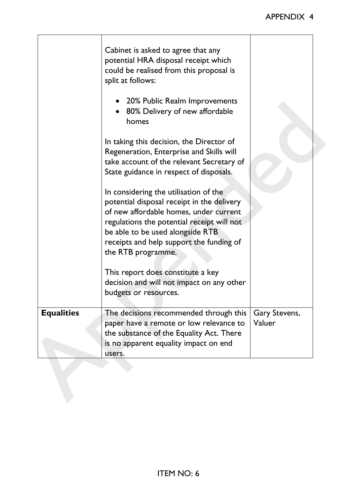|                   | receipts and help support the funding of<br>the RTB programme.<br>This report does constitute a key<br>decision and will not impact on any other<br>budgets or resources. |                         |
|-------------------|---------------------------------------------------------------------------------------------------------------------------------------------------------------------------|-------------------------|
| <b>Equalities</b> | The decisions recommended through this<br>paper have a remote or low relevance to<br>the substance of the Equality Act. There<br>is no apparent equality impact on end    | Gary Stevens,<br>Valuer |